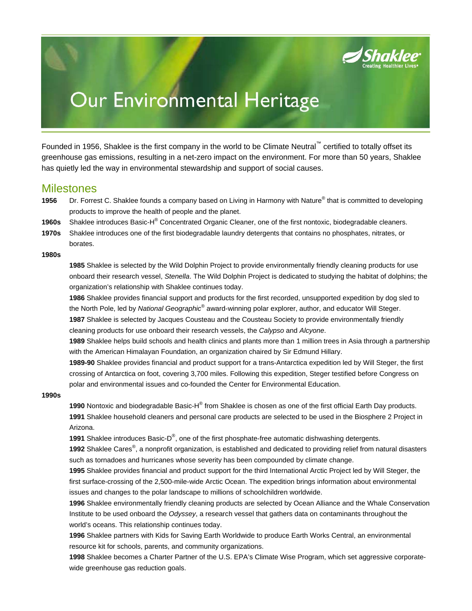

# Our Environmental Heritage

Founded in 1956, Shaklee is the first company in the world to be Climate Neutral™ certified to totally offset its greenhouse gas emissions, resulting in a net-zero impact on the environment. For more than 50 years, Shaklee has quietly led the way in environmental stewardship and support of social causes.

### **Milestones**

- 1956 Dr. Forrest C. Shaklee founds a company based on Living in Harmony with Nature® that is committed to developing products to improve the health of people and the planet.
- **1960s** Shaklee introduces Basic-H® Concentrated Organic Cleaner, one of the first nontoxic, biodegradable cleaners.
- **1970s** Shaklee introduces one of the first biodegradable laundry detergents that contains no phosphates, nitrates, or borates.

#### **1980s**

**1985** Shaklee is selected by the Wild Dolphin Project to provide environmentally friendly cleaning products for use onboard their research vessel, *Stenella*. The Wild Dolphin Project is dedicated to studying the habitat of dolphins; the organization's relationship with Shaklee continues today.

**1986** Shaklee provides financial support and products for the first recorded, unsupported expedition by dog sled to the North Pole, led by *National Geographic®* award-winning polar explorer, author, and educator Will Steger.

**1987** Shaklee is selected by Jacques Cousteau and the Cousteau Society to provide environmentally friendly cleaning products for use onboard their research vessels, the *Calypso* and *Alcyone*.

**1989** Shaklee helps build schools and health clinics and plants more than 1 million trees in Asia through a partnership with the American Himalayan Foundation, an organization chaired by Sir Edmund Hillary.

**1989-90** Shaklee provides financial and product support for a trans-Antarctica expedition led by Will Steger, the first crossing of Antarctica on foot, covering 3,700 miles. Following this expedition, Steger testified before Congress on polar and environmental issues and co-founded the Center for Environmental Education.

#### **1990s**

1990 Nontoxic and biodegradable Basic-H<sup>®</sup> from Shaklee is chosen as one of the first official Earth Day products. **1991** Shaklee household cleaners and personal care products are selected to be used in the Biosphere 2 Project in Arizona.

**1991** Shaklee introduces Basic-D® , one of the first phosphate-free automatic dishwashing detergents.

**1992** Shaklee Cares® , a nonprofit organization, is established and dedicated to providing relief from natural disasters such as tornadoes and hurricanes whose severity has been compounded by climate change.

**1995** Shaklee provides financial and product support for the third International Arctic Project led by Will Steger, the first surface-crossing of the 2,500-mile-wide Arctic Ocean. The expedition brings information about environmental issues and changes to the polar landscape to millions of schoolchildren worldwide.

**1996** Shaklee environmentally friendly cleaning products are selected by Ocean Alliance and the Whale Conservation Institute to be used onboard the *Odyssey*, a research vessel that gathers data on contaminants throughout the world's oceans. This relationship continues today.

**1996** Shaklee partners with Kids for Saving Earth Worldwide to produce Earth Works Central, an environmental resource kit for schools, parents, and community organizations.

**1998** Shaklee becomes a Charter Partner of the U.S. EPA's Climate Wise Program, which set aggressive corporatewide greenhouse gas reduction goals.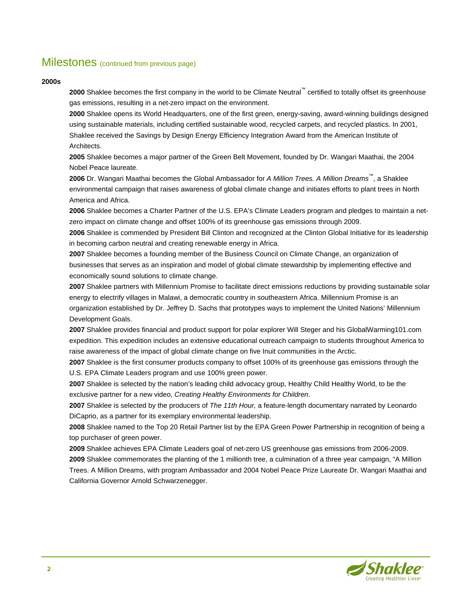## Milestones (continued from previous page)

#### **2000s**

**2000** Shaklee becomes the first company in the world to be Climate Neutral™ certified to totally offset its greenhouse gas emissions, resulting in a net-zero impact on the environment.

**2000** Shaklee opens its World Headquarters, one of the first green, energy-saving, award-winning buildings designed using sustainable materials, including certified sustainable wood, recycled carpets, and recycled plastics. In 2001, Shaklee received the Savings by Design Energy Efficiency Integration Award from the American Institute of Architects.

**2005** Shaklee becomes a major partner of the Green Belt Movement, founded by Dr. Wangari Maathai, the 2004 Nobel Peace laureate.

**2006** Dr. Wangari Maathai becomes the Global Ambassador for *A Million Trees. A Million Dreams*™, a Shaklee environmental campaign that raises awareness of global climate change and initiates efforts to plant trees in North America and Africa.

**2006** Shaklee becomes a Charter Partner of the U.S. EPA's Climate Leaders program and pledges to maintain a netzero impact on climate change and offset 100% of its greenhouse gas emissions through 2009.

**2006** Shaklee is commended by President Bill Clinton and recognized at the Clinton Global Initiative for its leadership in becoming carbon neutral and creating renewable energy in Africa.

**2007** Shaklee becomes a founding member of the Business Council on Climate Change, an organization of businesses that serves as an inspiration and model of global climate stewardship by implementing effective and economically sound solutions to climate change.

**2007** Shaklee partners with Millennium Promise to facilitate direct emissions reductions by providing sustainable solar energy to electrify villages in Malawi, a democratic country in southeastern Africa. Millennium Promise is an organization established by Dr. Jeffrey D. Sachs that prototypes ways to implement the United Nations' Millennium Development Goals.

**2007** Shaklee provides financial and product support for polar explorer Will Steger and his GlobalWarming101.com expedition. This expedition includes an extensive educational outreach campaign to students throughout America to raise awareness of the impact of global climate change on five Inuit communities in the Arctic.

**2007** Shaklee is the first consumer products company to offset 100% of its greenhouse gas emissions through the U.S. EPA Climate Leaders program and use 100% green power.

**2007** Shaklee is selected by the nation's leading child advocacy group, Healthy Child Healthy World, to be the exclusive partner for a new video, *Creating Healthy Environments for Children*.

**2007** Shaklee is selected by the producers of *The 11th Hour,* a feature-length documentary narrated by Leonardo DiCaprio, as a partner for its exemplary environmental leadership.

**2008** Shaklee named to the Top 20 Retail Partner list by the EPA Green Power Partnership in recognition of being a top purchaser of green power.

**2009** Shaklee achieves EPA Climate Leaders goal of net-zero US greenhouse gas emissions from 2006-2009. **2009** Shaklee commemorates the planting of the 1 millionth tree, a culmination of a three year campaign, "A Million Trees. A Million Dreams, with program Ambassador and 2004 Nobel Peace Prize Laureate Dr. Wangari Maathai and California Governor Arnold Schwarzenegger.

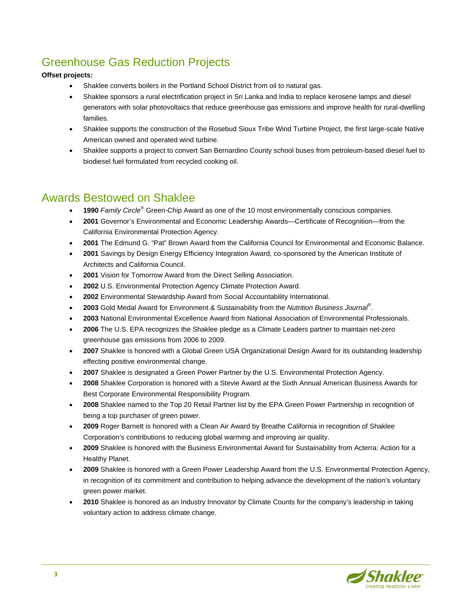# Greenhouse Gas Reduction Projects

#### **Offset projects:**

- Shaklee converts boilers in the Portland School District from oil to natural gas.
- Shaklee sponsors a rural electrification project in Sri Lanka and India to replace kerosene lamps and diesel generators with solar photovoltaics that reduce greenhouse gas emissions and improve health for rural-dwelling families.
- Shaklee supports the construction of the Rosebud Sioux Tribe Wind Turbine Project, the first large-scale Native American owned and operated wind turbine.
- Shaklee supports a project to convert San Bernardino County school buses from petroleum-based diesel fuel to biodiesel fuel formulated from recycled cooking oil.

# Awards Bestowed on Shaklee

- **1990** *Family Circle*® Green-Chip Award as one of the 10 most environmentally conscious companies.
- **2001** Governor's Environmental and Economic Leadership Awards—Certificate of Recognition—from the California Environmental Protection Agency.
- **2001** The Edmund G. "Pat" Brown Award from the California Council for Environmental and Economic Balance.
- **2001** Savings by Design Energy Efficiency Integration Award, co-sponsored by the American Institute of Architects and California Council.
- **2001** Vision for Tomorrow Award from the Direct Selling Association.
- **2002** U.S. Environmental Protection Agency Climate Protection Award.
- **2002** Environmental Stewardship Award from Social Accountability International.
- **2003** Gold Medal Award for Environment & Sustainability from the *Nutrition Business Journal*® .
- **2003** National Environmental Excellence Award from National Association of Environmental Professionals.
- **2006** The U.S. EPA recognizes the Shaklee pledge as a Climate Leaders partner to maintain net-zero greenhouse gas emissions from 2006 to 2009.
- **2007** Shaklee is honored with a Global Green USA Organizational Design Award for its outstanding leadership effecting positive environmental change.
- **2007** Shaklee is designated a Green Power Partner by the U.S. Environmental Protection Agency.
- **2008** Shaklee Corporation is honored with a Stevie Award at the Sixth Annual American Business Awards for Best Corporate Environmental Responsibility Program.
- **2008** Shaklee named to the Top 20 Retail Partner list by the EPA Green Power Partnership in recognition of being a top purchaser of green power.
- **2009** Roger Barnett is honored with a Clean Air Award by Breathe California in recognition of Shaklee Corporation's contributions to reducing global warming and improving air quality.
- **2009** Shaklee is honored with the Business Environmental Award for Sustainability from Acterra: Action for a Healthy Planet.
- **2009** Shaklee is honored with a Green Power Leadership Award from the U.S. Environmental Protection Agency, in recognition of its commitment and contribution to helping advance the development of the nation's voluntary green power market.
- **2010** Shaklee is honored as an Industry Innovator by Climate Counts for the company's leadership in taking voluntary action to address climate change.